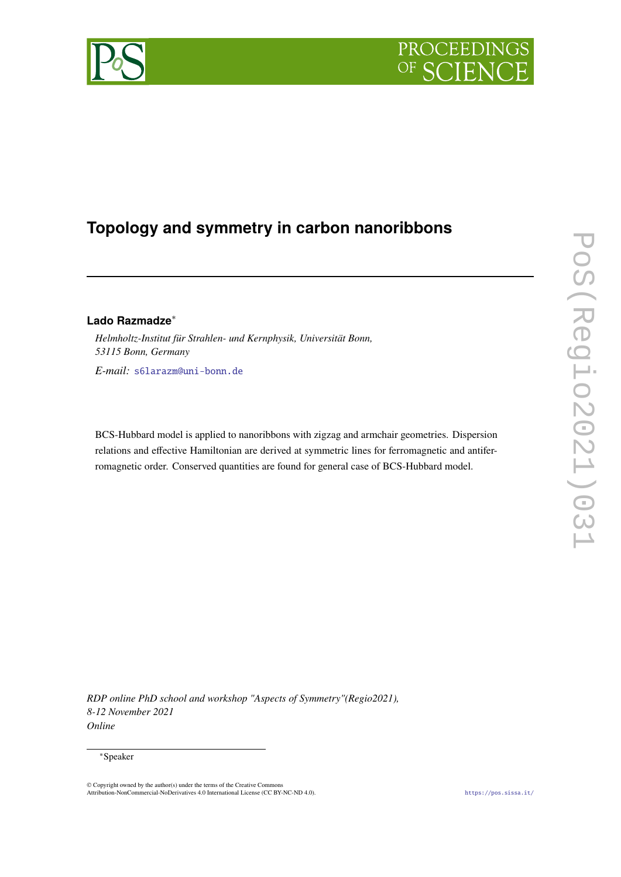

# **Topology and symmetry in carbon nanoribbons**

# **Lado Razmadze**<sup>∗</sup>

*Helmholtz-Institut für Strahlen- und Kernphysik, Universität Bonn, 53115 Bonn, Germany E-mail:* [s6larazm@uni-bonn.de](mailto:s6larazm@uni-bonn.de)

BCS-Hubbard model is applied to nanoribbons with zigzag and armchair geometries. Dispersion relations and effective Hamiltonian are derived at symmetric lines for ferromagnetic and antiferromagnetic order. Conserved quantities are found for general case of BCS-Hubbard model.

*RDP online PhD school and workshop "Aspects of Symmetry"(Regio2021), 8-12 November 2021 Online*

#### <sup>∗</sup>Speaker

© Copyright owned by the author(s) under the terms of the Creative Commons<br>Attribution-NonCommercial-NoDerivatives 4.0 International License (CC BY-NC-ND 4.0). <https://pos.sissa.it/>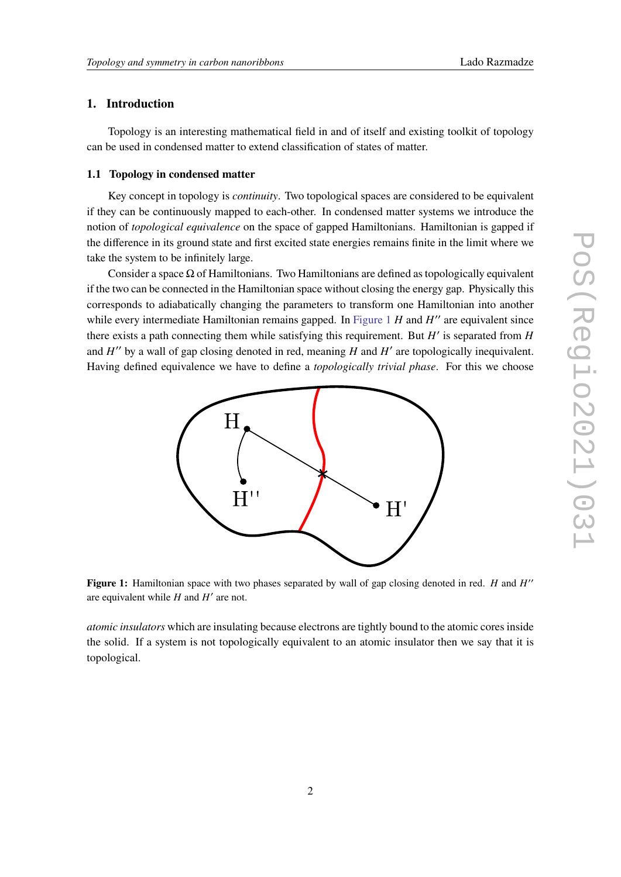# **1. Introduction**

Topology is an interesting mathematical field in and of itself and existing toolkit of topology can be used in condensed matter to extend classification of states of matter.

### <span id="page-1-1"></span>**1.1 Topology in condensed matter**

Key concept in topology is *continuity*. Two topological spaces are considered to be equivalent if they can be continuously mapped to each-other. In condensed matter systems we introduce the notion of *topological equivalence* on the space of gapped Hamiltonians. Hamiltonian is gapped if the difference in its ground state and first excited state energies remains finite in the limit where we take the system to be infinitely large.

Consider a space  $\Omega$  of Hamiltonians. Two Hamiltonians are defined as topologically equivalent if the two can be connected in the Hamiltonian space without closing the energy gap. Physically this corresponds to adiabatically changing the parameters to transform one Hamiltonian into another while every intermediate Hamiltonian remains gapped. In Figure  $1$  H and  $H''$  are equivalent since there exists a path connecting them while satisfying this requirement. But  $H'$  is separated from  $H$ and  $H''$  by a wall of gap closing denoted in red, meaning  $H$  and  $H'$  are topologically inequivalent. Having defined equivalence we have to define a *topologically trivial phase*. For this we choose

<span id="page-1-0"></span>

Figure 1: Hamiltonian space with two phases separated by wall of gap closing denoted in red. H and H" are equivalent while  $H$  and  $H'$  are not.

*atomic insulators* which are insulating because electrons are tightly bound to the atomic cores inside the solid. If a system is not topologically equivalent to an atomic insulator then we say that it is topological.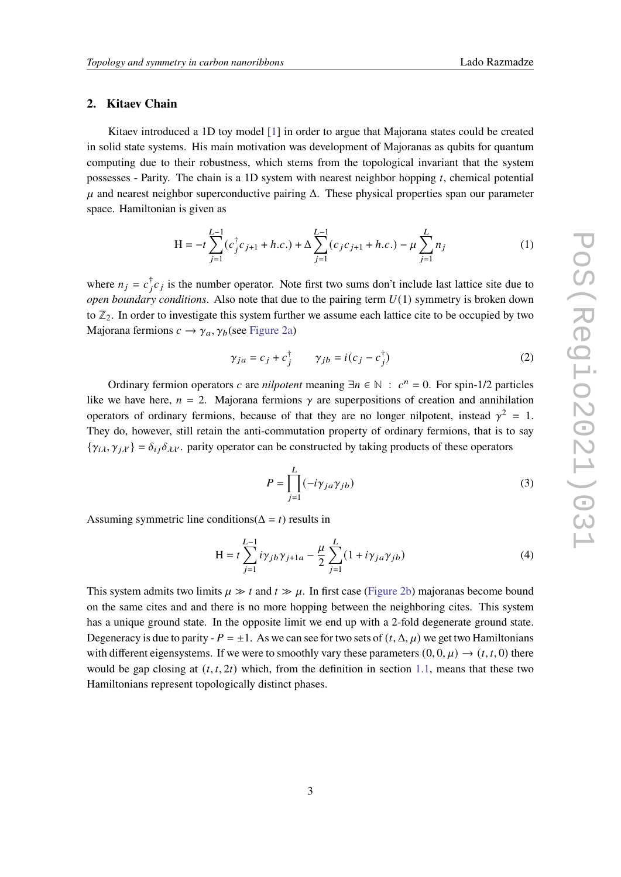### **2. Kitaev Chain**

Kitaev introduced a 1D toy model [\[1\]](#page-9-0) in order to argue that Majorana states could be created in solid state systems. His main motivation was development of Majoranas as qubits for quantum computing due to their robustness, which stems from the topological invariant that the system possesses - Parity. The chain is a 1D system with nearest neighbor hopping  $t$ , chemical potential  $\mu$  and nearest neighbor superconductive pairing  $\Delta$ . These physical properties span our parameter space. Hamiltonian is given as

$$
H = -t \sum_{j=1}^{L-1} (c_j^{\dagger} c_{j+1} + h.c.) + \Delta \sum_{j=1}^{L-1} (c_j c_{j+1} + h.c.) - \mu \sum_{j=1}^{L} n_j
$$
 (1)

where  $n_j = c_j^{\dagger} c_j$  is the number operator. Note first two sums don't include last lattice site due to *open boundary conditions.* Also note that due to the pairing term  $U(1)$  symmetry is broken down to **Z**2. In order to investigate this system further we assume each lattice cite to be occupied by two Majorana fermions  $c \to \gamma_a, \gamma_b$  (see [Figure 2a\)](#page-3-0)

$$
\gamma_{ja} = c_j + c_j^{\dagger} \qquad \gamma_{jb} = i(c_j - c_j^{\dagger}) \tag{2}
$$

Ordinary fermion operators c are *nilpotent* meaning  $\exists n \in \mathbb{N} : c^n = 0$ . For spin-1/2 particles like we have here,  $n = 2$ . Majorana fermions  $\gamma$  are superpositions of creation and annihilation operators of ordinary fermions, because of that they are no longer nilpotent, instead  $\gamma^2 = 1$ . They do, however, still retain the anti-commutation property of ordinary fermions, that is to say  $\{\gamma_{i\lambda}, \gamma_{j\lambda'}\} = \delta_{ij} \delta_{\lambda\lambda'}$ . parity operator can be constructed by taking products of these operators

$$
P = \prod_{j=1}^{L} (-i\gamma_{ja}\gamma_{jb})
$$
\n(3)

Assuming symmetric line conditions( $\Delta = t$ ) results in

$$
H = t \sum_{j=1}^{L-1} i \gamma_{jb} \gamma_{j+1a} - \frac{\mu}{2} \sum_{j=1}^{L} (1 + i \gamma_{ja} \gamma_{jb})
$$
 (4)

This system admits two limits  $\mu \gg t$  and  $t \gg \mu$ . In first case [\(Figure 2b\)](#page-3-0) majoranas become bound on the same cites and and there is no more hopping between the neighboring cites. This system has a unique ground state. In the opposite limit we end up with a 2-fold degenerate ground state. Degeneracy is due to parity -  $P = \pm 1$ . As we can see for two sets of  $(t, \Delta, \mu)$  we get two Hamiltonians with different eigensystems. If we were to smoothly vary these parameters  $(0, 0, \mu) \rightarrow (t, t, 0)$  there would be gap closing at  $(t, t, 2t)$  which, from the definition in section [1.1,](#page-1-1) means that these two Hamiltonians represent topologically distinct phases.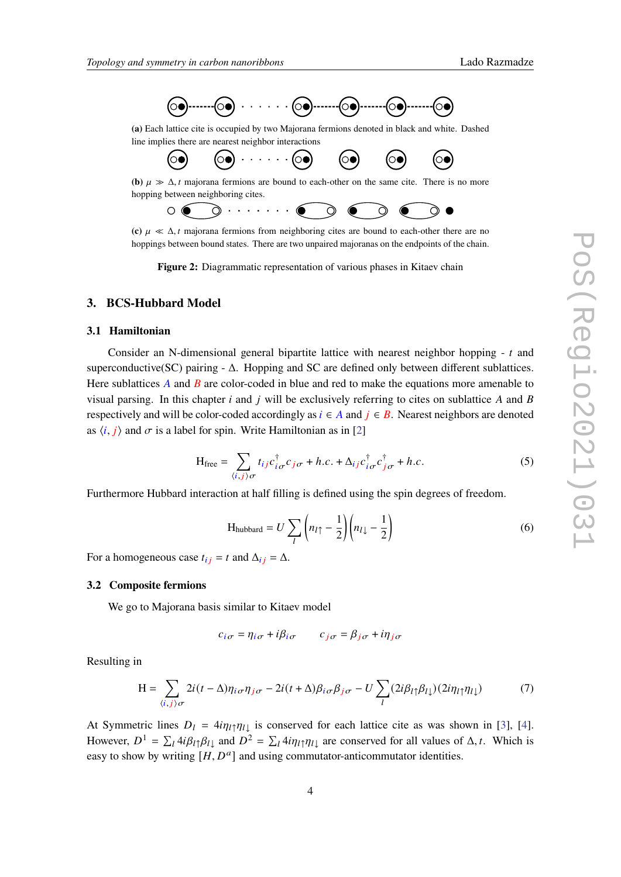

<span id="page-3-0"></span>**(a)** Each lattice cite is occupied by two Majorana fermions denoted in black and white. Dashed line implies there are nearest neighbor interactions



**(b)**  $\mu \gg \Delta$ , *t* majorana fermions are bound to each-other on the same cite. There is no more hopping between neighboring cites.



**(c)**  $\mu \ll \Delta$ , *t* majorana fermions from neighboring cites are bound to each-other there are no hoppings between bound states. There are two unpaired majoranas on the endpoints of the chain.

**Figure 2:** Diagrammatic representation of various phases in Kitaev chain

### **3. BCS-Hubbard Model**

### **3.1 Hamiltonian**

Consider an N-dimensional general bipartite lattice with nearest neighbor hopping  $- t$  and superconductive(SC) pairing  $-\Delta$ . Hopping and SC are defined only between different sublattices. Here sublattices  $\vec{A}$  and  $\vec{B}$  are color-coded in blue and red to make the equations more amenable to visual parsing. In this chapter  $i$  and  $j$  will be exclusively referring to cites on sublattice  $A$  and  $B$ respectively and will be color-coded accordingly as  $i \in A$  and  $j \in B$ . Nearest neighbors are denoted as  $\langle i, j \rangle$  and  $\sigma$  is a label for spin. Write Hamiltonian as in [\[2\]](#page-9-1)

$$
H_{\text{free}} = \sum_{\langle i,j \rangle \sigma} t_{ij} c_{i\sigma}^{\dagger} c_{j\sigma} + h.c. + \Delta_{ij} c_{i\sigma}^{\dagger} c_{j\sigma}^{\dagger} + h.c.
$$
 (5)

Furthermore Hubbard interaction at half filling is defined using the spin degrees of freedom.

$$
H_{\text{hubbard}} = U \sum_{l} \left( n_{l\uparrow} - \frac{1}{2} \right) \left( n_{l\downarrow} - \frac{1}{2} \right) \tag{6}
$$

For a homogeneous case  $t_{ij} = t$  and  $\Delta_{ij} = \Delta$ .

### **3.2 Composite fermions**

We go to Majorana basis similar to Kitaev model

$$
c_{i\sigma} = \eta_{i\sigma} + i\beta_{i\sigma} \qquad c_{j\sigma} = \beta_{j\sigma} + i\eta_{j\sigma}
$$

Resulting in

$$
H = \sum_{\langle i,j\rangle\sigma} 2i(t-\Delta)\eta_{i\sigma}\eta_{j\sigma} - 2i(t+\Delta)\beta_{i\sigma}\beta_{j\sigma} - U\sum_{l} (2i\beta_{l\uparrow}\beta_{l\downarrow}) (2i\eta_{l\uparrow}\eta_{l\downarrow})
$$
(7)

At Symmetric lines  $D_l = 4i\eta_l \eta_l$  is conserved for each lattice cite as was shown in [\[3\]](#page-9-2), [\[4\]](#page-9-3). However,  $D^1 = \sum_l 4i\beta_{l\uparrow}\beta_{l\downarrow}$  and  $D^2 = \sum_l 4i\eta_{l\uparrow}\eta_{l\downarrow}$  are conserved for all values of  $\Delta, t$ . Which is easy to show by writing  $[H, D^a]$  and using commutator-anticommutator identities.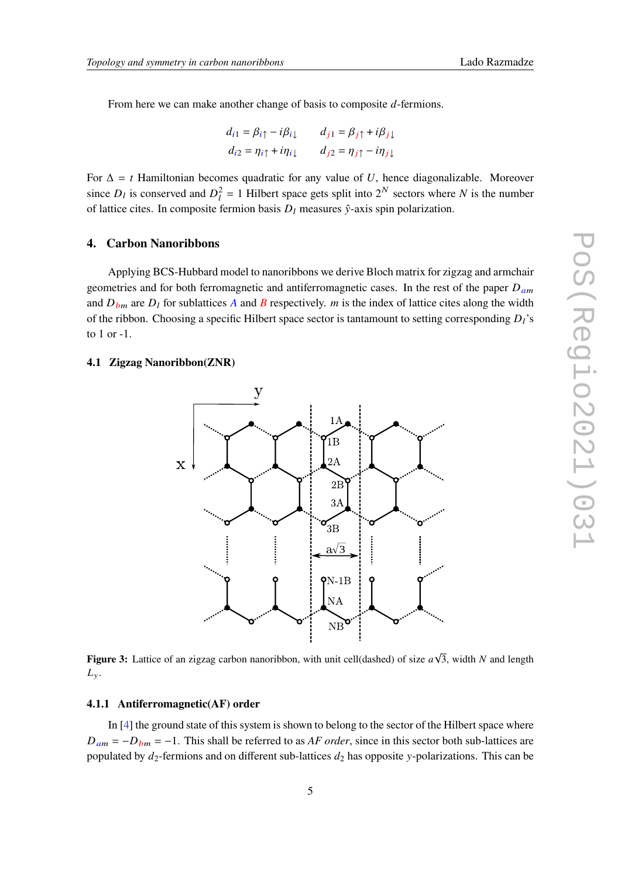From here we can make another change of basis to composite  $d$ -fermions.

$$
d_{i1} = \beta_{i\uparrow} - i\beta_{i\downarrow} \qquad d_{j1} = \beta_{j\uparrow} + i\beta_{j\downarrow}
$$
  

$$
d_{i2} = \eta_{i\uparrow} + i\eta_{i\downarrow} \qquad d_{j2} = \eta_{j\uparrow} - i\eta_{j\downarrow}
$$

For  $\Delta = t$  Hamiltonian becomes quadratic for any value of U, hence diagonalizable. Moreover since  $D_l$  is conserved and  $D_l^2 = 1$  Hilbert space gets split into  $2^N$  sectors where N is the number of lattice cites. In composite fermion basis  $D_l$  measures  $\hat{y}$ -axis spin polarization.

#### **4. Carbon Nanoribbons**

Applying BCS-Hubbard model to nanoribbons we derive Bloch matrix for zigzag and armchair geometries and for both ferromagnetic and antiferromagnetic cases. In the rest of the paper  $D_{am}$ and  $D_{bm}$  are  $D_l$  for sublattices A and B respectively. *m* is the index of lattice cites along the width of the ribbon. Choosing a specific Hilbert space sector is tantamount to setting corresponding  $D_l$ 's to 1 or -1.

### **4.1 Zigzag Nanoribbon(ZNR)**



**Figure 3:** Lattice of an zigzag carbon nanoribbon, with unit cell(dashed) of size  $a\sqrt{3}$ , width N and length  $L_y$ .

# **4.1.1 Antiferromagnetic(AF) order**

In [\[4\]](#page-9-3) the ground state of this system is shown to belong to the sector of the Hilbert space where  $D_{am} = -D_{bm} = -1$ . This shall be referred to as *AF order*, since in this sector both sub-lattices are populated by  $d_2$ -fermions and on different sub-lattices  $d_2$  has opposite y-polarizations. This can be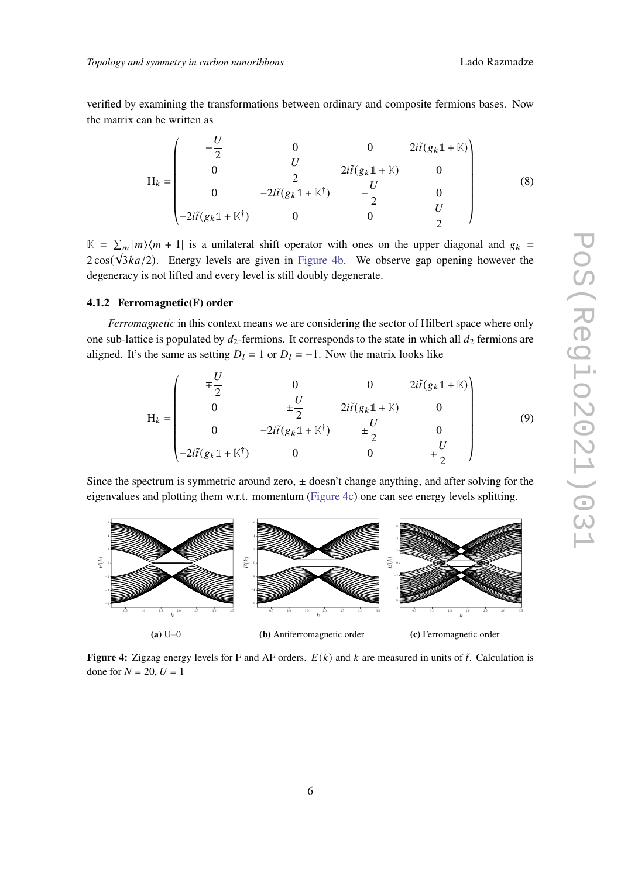verified by examining the transformations between ordinary and composite fermions bases. Now the matrix can be written as

$$
H_{k} = \begin{pmatrix} -\frac{U}{2} & 0 & 0 & 2i\tilde{t}(g_{k}\mathbb{1} + \mathbb{K}) \\ 0 & \frac{U}{2} & 2i\tilde{t}(g_{k}\mathbb{1} + \mathbb{K}) & 0 \\ 0 & -2i\tilde{t}(g_{k}\mathbb{1} + \mathbb{K}^{\dagger}) & -\frac{U}{2} & 0 \\ -2i\tilde{t}(g_{k}\mathbb{1} + \mathbb{K}^{\dagger}) & 0 & 0 & \frac{U}{2} \end{pmatrix}
$$
(8)

 $K = \sum_{m} |m\rangle \langle m + 1|$  is a unilateral shift operator with ones on the upper diagonal and  $g_k = \sqrt{F}$  $2\cos(\sqrt{3}ka/2)$ . Energy levels are given in [Figure 4b.](#page-5-0) We observe gap opening however the degeneracy is not lifted and every level is still doubly degenerate.

### **4.1.2 Ferromagnetic(F) order**

«

*Ferromagnetic* in this context means we are considering the sector of Hilbert space where only one sub-lattice is populated by  $d_2$ -fermions. It corresponds to the state in which all  $d_2$  fermions are aligned. It's the same as setting  $D_l = 1$  or  $D_l = -1$ . Now the matrix looks like

$$
H_{k} = \begin{pmatrix} \mp \frac{U}{2} & 0 & 0 & 2i\tilde{t}(g_{k}\mathbb{1} + \mathbb{K}) \\ 0 & \pm \frac{U}{2} & 2i\tilde{t}(g_{k}\mathbb{1} + \mathbb{K}) & 0 \\ 0 & -2i\tilde{t}(g_{k}\mathbb{1} + \mathbb{K}^{\dagger}) & \pm \frac{U}{2} & 0 \\ -2i\tilde{t}(g_{k}\mathbb{1} + \mathbb{K}^{\dagger}) & 0 & 0 & \mp \frac{U}{2} \end{pmatrix}
$$
(9)

Since the spectrum is symmetric around zero,  $\pm$  doesn't change anything, and after solving for the eigenvalues and plotting them w.r.t. momentum [\(Figure 4c\)](#page-5-0) one can see energy levels splitting.

<span id="page-5-0"></span>

**Figure 4:** Zigzag energy levels for F and AF orders.  $E(k)$  and k are measured in units of  $\tilde{t}$ . Calculation is done for  $N = 20$ ,  $U = 1$ 

¬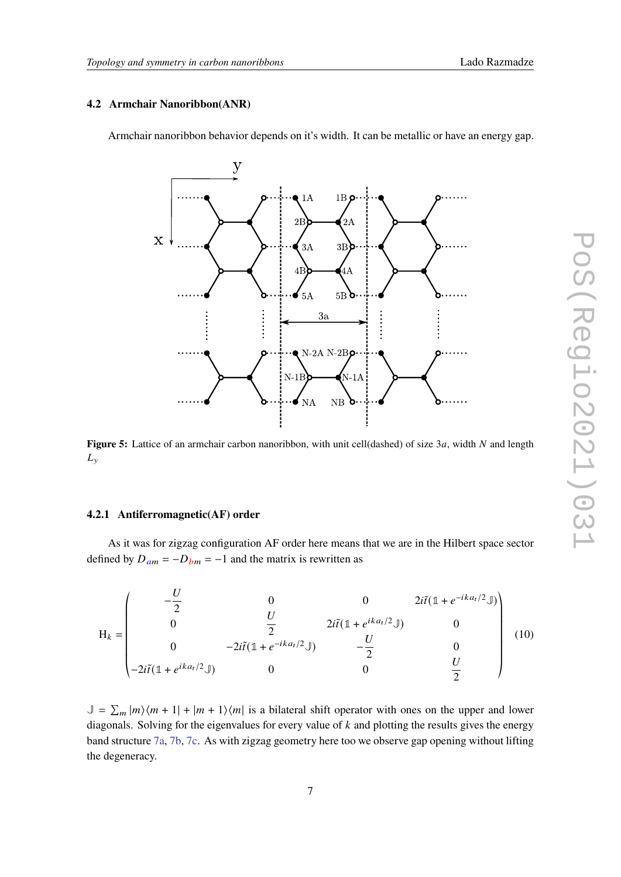# **4.2 Armchair Nanoribbon(ANR)**

Armchair nanoribbon behavior depends on it's width. It can be metallic or have an energy gap.



**Figure 5:** Lattice of an armchair carbon nanoribbon, with unit cell(dashed) of size 3a, width N and length  $L_{y}$ 

#### **4.2.1 Antiferromagnetic(AF) order**

As it was for zigzag configuration AF order here means that we are in the Hilbert space sector defined by  $D_{am} = -D_{bm} = -1$  and the matrix is rewritten as

$$
H_{k} = \begin{pmatrix} -\frac{U}{2} & 0 & 0 & 2i\tilde{t}(\mathbb{1} + e^{-ik a_{t}/2} \mathbb{J}) \\ 0 & \frac{U}{2} & 2i\tilde{t}(\mathbb{1} + e^{ik a_{t}/2} \mathbb{J}) & 0 \\ 0 & -2i\tilde{t}(\mathbb{1} + e^{-ik a_{t}/2} \mathbb{J}) & -\frac{U}{2} & 0 \\ -2i\tilde{t}(\mathbb{1} + e^{ik a_{t}/2} \mathbb{J}) & 0 & 0 & \frac{U}{2} \end{pmatrix}
$$
(10)

 $\mathbb{J} = \sum_m |m\rangle\langle m+1| + |m+1\rangle\langle m|$  is a bilateral shift operator with ones on the upper and lower diagonals. Solving for the eigenvalues for every value of  $k$  and plotting the results gives the energy band structure [7a,](#page-7-0) [7b,](#page-7-0) [7c.](#page-7-0) As with zigzag geometry here too we observe gap opening without lifting the degeneracy.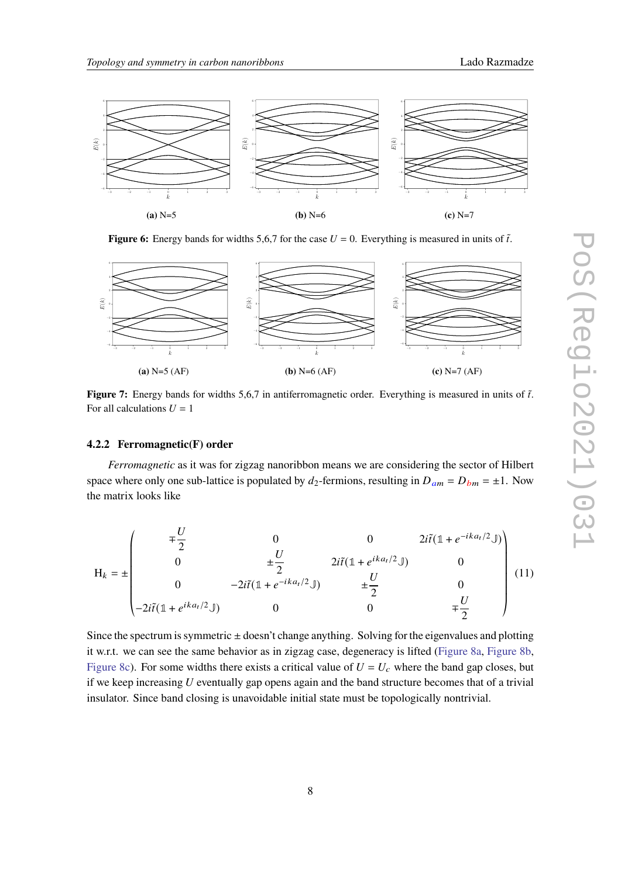

**Figure 6:** Energy bands for widths 5,6,7 for the case  $U = 0$ . Everything is measured in units of  $\tilde{t}$ .

<span id="page-7-0"></span>

**Figure 7:** Energy bands for widths 5,6,7 in antiferromagnetic order. Everything is measured in units of  $\tilde{t}$ . For all calculations  $U = 1$ 

#### **4.2.2 Ferromagnetic(F) order**

*Ferromagnetic* as it was for zigzag nanoribbon means we are considering the sector of Hilbert space where only one sub-lattice is populated by  $d_2$ -fermions, resulting in  $D_{am} = D_{bm} = \pm 1$ . Now the matrix looks like

$$
H_{k} = \pm \begin{pmatrix} \mp \frac{U}{2} & 0 & 0 & 2i\tilde{t}(\mathbb{1} + e^{-ik a_{t}/2} \mathbb{J}) \\ 0 & \pm \frac{U}{2} & 2i\tilde{t}(\mathbb{1} + e^{ik a_{t}/2} \mathbb{J}) & 0 \\ 0 & -2i\tilde{t}(\mathbb{1} + e^{-ik a_{t}/2} \mathbb{J}) & \pm \frac{U}{2} & 0 \\ -2i\tilde{t}(\mathbb{1} + e^{ik a_{t}/2} \mathbb{J}) & 0 & 0 & \mp \frac{U}{2} \end{pmatrix} (11)
$$

Since the spectrum is symmetric  $\pm$  doesn't change anything. Solving for the eigenvalues and plotting it w.r.t. we can see the same behavior as in zigzag case, degeneracy is lifted [\(Figure 8a,](#page-8-0) [Figure 8b,](#page-8-0) [Figure 8c\)](#page-8-0). For some widths there exists a critical value of  $U = U_c$  where the band gap closes, but if we keep increasing  $U$  eventually gap opens again and the band structure becomes that of a trivial insulator. Since band closing is unavoidable initial state must be topologically nontrivial.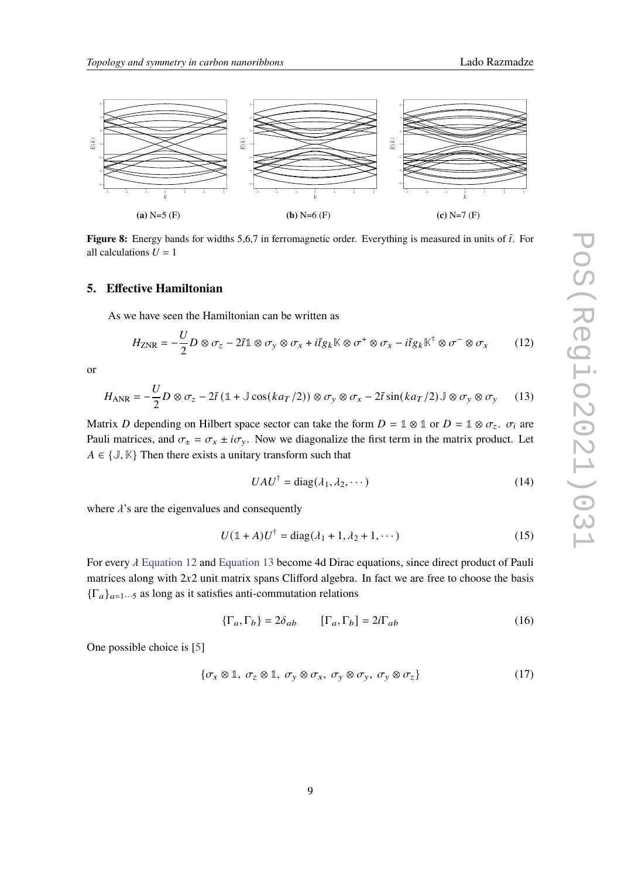<span id="page-8-0"></span>

**Figure 8:** Energy bands for widths 5,6,7 in ferromagnetic order. Everything is measured in units of  $\tilde{t}$ . For all calculations  $U = 1$ 

#### **5. Effective Hamiltonian**

As we have seen the Hamiltonian can be written as

<span id="page-8-1"></span>
$$
H_{\text{ZNR}} = -\frac{U}{2}D \otimes \sigma_z - 2\tilde{t} \mathbb{1} \otimes \sigma_y \otimes \sigma_x + i\tilde{t}g_k \mathbb{K} \otimes \sigma^+ \otimes \sigma_x - i\tilde{t}g_k \mathbb{K}^\dagger \otimes \sigma^- \otimes \sigma_x \tag{12}
$$

or

<span id="page-8-2"></span>
$$
H_{\text{ANR}} = -\frac{U}{2}D \otimes \sigma_z - 2\tilde{t} \left(1 + \mathbb{J}\cos(ka_T/2)\right) \otimes \sigma_y \otimes \sigma_x - 2\tilde{t}\sin(ka_T/2)\mathbb{J} \otimes \sigma_y \otimes \sigma_y \tag{13}
$$

Matrix D depending on Hilbert space sector can take the form  $D = \mathbb{1} \otimes \mathbb{1}$  or  $D = \mathbb{1} \otimes \sigma_z$ .  $\sigma_i$  are Pauli matrices, and  $\sigma_{\pm} = \sigma_x \pm i \sigma_y$ . Now we diagonalize the first term in the matrix product. Let  $A \in \{J, \mathbb{K}\}\$  Then there exists a unitary transform such that

$$
UAU^{\dagger} = \text{diag}(\lambda_1, \lambda_2, \cdots) \tag{14}
$$

where  $\lambda$ 's are the eigenvalues and consequently

$$
U(\mathbb{1} + A)U^{\dagger} = \text{diag}(\lambda_1 + 1, \lambda_2 + 1, \cdots)
$$
 (15)

For every  $\lambda$  [Equation 12](#page-8-1) and [Equation 13](#page-8-2) become 4d Dirac equations, since direct product of Pauli matrices along with  $2x2$  unit matrix spans Clifford algebra. In fact we are free to choose the basis  ${\{\Gamma_a\}}_{a=1\cdots 5}$  as long as it satisfies anti-commutation relations

$$
\{\Gamma_a, \Gamma_b\} = 2\delta_{ab} \qquad [\Gamma_a, \Gamma_b] = 2i\Gamma_{ab} \tag{16}
$$

One possible choice is [\[5\]](#page-9-4)

$$
\{\sigma_x \otimes \mathbb{1}, \sigma_z \otimes \mathbb{1}, \sigma_y \otimes \sigma_x, \sigma_y \otimes \sigma_y, \sigma_y \otimes \sigma_z\} \tag{17}
$$